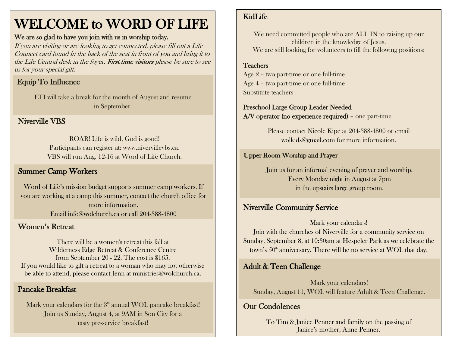# WELCOME to WORD OF LIFE

#### We are so glad to have you join with us in worship today.

If you are visiting or are looking to get connected, please fill out a Life Connect card found in the back of the seat in front of you and bring it to the Life Central desk in the foyer. First time visitors please be sure to see us for your special gift.

# Equip To Influence

ETI will take a break for the month of August and resume in September.

### Niverville VBS

ROAR! Life is wild, God is good! Participants can register at: www.nivervillevbs.ca. VBS will run Aug. 12-16 at Word of Life Church.

### Summer Camp Workers

Word of Life's mission budget supports summer camp workers. If you are working at a camp this summer, contact the church office for more information. Email [info@wolchurch.ca](mailto:info@wolchurch.ca) or call 204-388-4800

### Women's Retreat

There will be a women's retreat this fall at Wilderness Edge Retreat & Conference Centre from September 20 - 22. The cost is \$165. If you would like to gift a retreat to a woman who may not otherwise be able to attend, please contact Jenn at ministries@wolchurch.ca.

### Pancake Breakfast

Mark your calendars for the  $3<sup>rd</sup>$  annual WOL pancake breakfast! Join us Sunday, August 4, at 9AM in Son City for a tasty pre-service breakfast!

### KidLife

We need committed people who are ALL IN to raising up our children in the knowledge of Jesus. We are still looking for volunteers to fill the following positions:

### Teachers

 Age 2 – two part-time or one full-time Age 4 – two part-time or one full-time Substitute teachers

### Preschool Large Group Leader Needed

A/V operator (no experience required) – one part-time

Please contact Nicole Kipe at 204-388-4800 or email [wolkids@gmail.com](mailto:wolkids@gmail.com) for more information.

### Upper Room Worship and Prayer

Join us for an informal evening of prayer and worship. Every Monday night in August at 7pm in the upstairs large group room.

### Niverville Community Service

#### Mark your calendars!

Join with the churches of Niverville for a community service on Sunday, September 8, at 10:30am at Hespeler Park as we celebrate the town's  $50<sup>th</sup>$  anniversary. There will be no service at WOL that day.

### Adult & Teen Challenge

Mark your calendars! Sunday, August 11, WOL will feature Adult & Teen Challenge.

### Our Condolences

To Tim & Janice Penner and family on the passing of Janice's mother, Anne Penner.